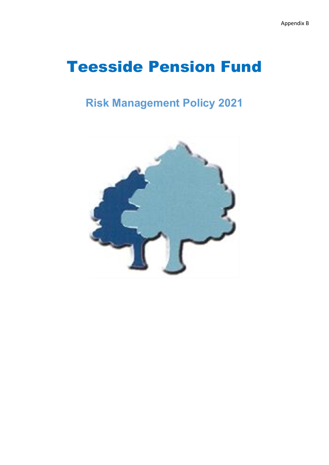# Teesside Pension Fund

## **Risk Management Policy 2021**

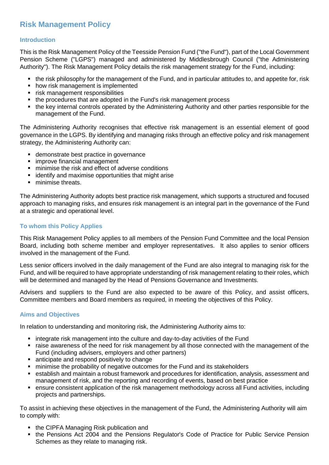### **Risk Management Policy**

#### **Introduction**

This is the Risk Management Policy of the Teesside Pension Fund ("the Fund"), part of the Local Government Pension Scheme ("LGPS") managed and administered by Middlesbrough Council ("the Administering Authority"). The Risk Management Policy details the risk management strategy for the Fund, including:

- the risk philosophy for the management of the Fund, and in particular attitudes to, and appetite for, risk
- how risk management is implemented
- risk management responsibilities
- the procedures that are adopted in the Fund's risk management process
- the key internal controls operated by the Administering Authority and other parties responsible for the management of the Fund.

The Administering Authority recognises that effective risk management is an essential element of good governance in the LGPS. By identifying and managing risks through an effective policy and risk management strategy, the Administering Authority can:

- demonstrate best practice in governance
- **F** improve financial management
- minimise the risk and effect of adverse conditions
- **EXEDENTIFY** and maximise opportunities that might arise
- **minimise threats.**

The Administering Authority adopts best practice risk management, which supports a structured and focused approach to managing risks, and ensures risk management is an integral part in the governance of the Fund at a strategic and operational level.

#### **To whom this Policy Applies**

This Risk Management Policy applies to all members of the Pension Fund Committee and the local Pension Board, including both scheme member and employer representatives. It also applies to senior officers involved in the management of the Fund.

Less senior officers involved in the daily management of the Fund are also integral to managing risk for the Fund, and will be required to have appropriate understanding of risk management relating to their roles, which will be determined and managed by the Head of Pensions Governance and Investments.

Advisers and suppliers to the Fund are also expected to be aware of this Policy, and assist officers, Committee members and Board members as required, in meeting the objectives of this Policy.

#### **Aims and Objectives**

In relation to understanding and monitoring risk, the Administering Authority aims to:

- integrate risk management into the culture and day-to-day activities of the Fund
- raise awareness of the need for risk management by all those connected with the management of the Fund (including advisers, employers and other partners)
- anticipate and respond positively to change
- minimise the probability of negative outcomes for the Fund and its stakeholders
- establish and maintain a robust framework and procedures for identification, analysis, assessment and management of risk, and the reporting and recording of events, based on best practice
- ensure consistent application of the risk management methodology across all Fund activities, including projects and partnerships.

To assist in achieving these objectives in the management of the Fund, the Administering Authority will aim to comply with:

- the CIPFA Managing Risk publication and
- the Pensions Act 2004 and the Pensions Regulator's Code of Practice for Public Service Pension Schemes as they relate to managing risk.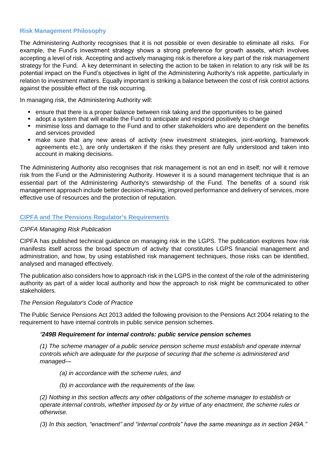#### **Risk Management Philosophy**

The Administering Authority recognises that it is not possible or even desirable to eliminate all risks. For example, the Fund's investment strategy shows a strong preference for growth assets, which involves accepting a level of risk. Accepting and actively managing risk is therefore a key part of the risk management strategy for the Fund. A key determinant in selecting the action to be taken in relation to any risk will be its potential impact on the Fund's objectives in light of the Administering Authority's risk appetite, particularly in relation to investment matters. Equally important is striking a balance between the cost of risk control actions against the possible effect of the risk occurring.

In managing risk, the Administering Authority will:

- ensure that there is a proper balance between risk taking and the opportunities to be gained
- adopt a system that will enable the Fund to anticipate and respond positively to change
- minimise loss and damage to the Fund and to other stakeholders who are dependent on the benefits and services provided
- make sure that any new areas of activity (new investment strategies, joint-working, framework agreements etc.), are only undertaken if the risks they present are fully understood and taken into account in making decisions.

The Administering Authority also recognises that risk management is not an end in itself; nor will it remove risk from the Fund or the Administering Authority. However it is a sound management technique that is an essential part of the Administering Authority's stewardship of the Fund. The benefits of a sound risk management approach include better decision-making, improved performance and delivery of services, more effective use of resources and the protection of reputation.

#### **CIPFA and The Pensions Regulator's Requirements**

#### *CIPFA Managing Risk Publication*

CIPFA has published technical guidance on managing risk in the LGPS. The publication explores how risk manifests itself across the broad spectrum of activity that constitutes LGPS financial management and administration, and how, by using established risk management techniques, those risks can be identified, analysed and managed effectively.

The publication also considers how to approach risk in the LGPS in the context of the role of the administering authority as part of a wider local authority and how the approach to risk might be communicated to other stakeholders.

#### *The Pension Regulator's Code of Practice*

The Public Service Pensions Act 2013 added the following provision to the Pensions Act 2004 relating to the requirement to have internal controls in public service pension schemes.

#### *"249B Requirement for internal controls: public service pension schemes*

*(1) The scheme manager of a public service pension scheme must establish and operate internal controls which are adequate for the purpose of securing that the scheme is administered and managed—*

- *(a) in accordance with the scheme rules, and*
- *(b) in accordance with the requirements of the law.*

*(2) Nothing in this section affects any other obligations of the scheme manager to establish or operate internal controls, whether imposed by or by virtue of any enactment, the scheme rules or otherwise.* 

*(3) In this section, "enactment" and "internal controls" have the same meanings as in section 249A."*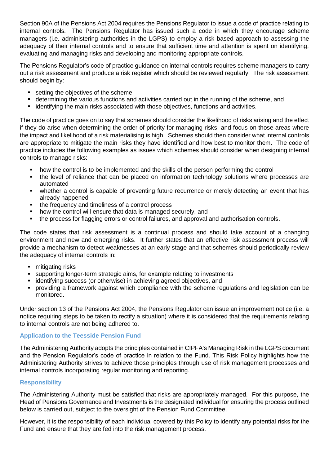Section 90A of the Pensions Act 2004 requires the Pensions Regulator to issue a code of practice relating to internal controls. The Pensions Regulator has issued such a code in which they encourage scheme managers (i.e. administering authorities in the LGPS) to employ a risk based approach to assessing the adequacy of their internal controls and to ensure that sufficient time and attention is spent on identifying, evaluating and managing risks and developing and monitoring appropriate controls.

The Pensions Regulator's code of practice guidance on internal controls requires scheme managers to carry out a risk assessment and produce a risk register which should be reviewed regularly. The risk assessment should begin by:

- setting the objectives of the scheme
- determining the various functions and activities carried out in the running of the scheme, and
- **EXECT** identifying the main risks associated with those objectives, functions and activities.

The code of practice goes on to say that schemes should consider the likelihood of risks arising and the effect if they do arise when determining the order of priority for managing risks, and focus on those areas where the impact and likelihood of a risk materialising is high. Schemes should then consider what internal controls are appropriate to mitigate the main risks they have identified and how best to monitor them. The code of practice includes the following examples as issues which schemes should consider when designing internal controls to manage risks:

- how the control is to be implemented and the skills of the person performing the control
- the level of reliance that can be placed on information technology solutions where processes are automated
- whether a control is capable of preventing future recurrence or merely detecting an event that has already happened
- the frequency and timeliness of a control process
- how the control will ensure that data is managed securely, and
- the process for flagging errors or control failures, and approval and authorisation controls.

The code states that risk assessment is a continual process and should take account of a changing environment and new and emerging risks. It further states that an effective risk assessment process will provide a mechanism to detect weaknesses at an early stage and that schemes should periodically review the adequacy of internal controls in:

- mitigating risks
- supporting longer-term strategic aims, for example relating to investments
- **identifying success (or otherwise) in achieving agreed objectives, and**
- providing a framework against which compliance with the scheme regulations and legislation can be monitored.

Under section 13 of the Pensions Act 2004, the Pensions Regulator can issue an improvement notice (i.e. a notice requiring steps to be taken to rectify a situation) where it is considered that the requirements relating to internal controls are not being adhered to.

#### **Application to the Teesside Pension Fund**

The Administering Authority adopts the principles contained in CIPFA's Managing Risk in the LGPS document and the Pension Regulator's code of practice in relation to the Fund. This Risk Policy highlights how the Administering Authority strives to achieve those principles through use of risk management processes and internal controls incorporating regular monitoring and reporting.

#### **Responsibility**

The Administering Authority must be satisfied that risks are appropriately managed. For this purpose, the Head of Pensions Governance and Investments is the designated individual for ensuring the process outlined below is carried out, subject to the oversight of the Pension Fund Committee.

However, it is the responsibility of each individual covered by this Policy to identify any potential risks for the Fund and ensure that they are fed into the risk management process.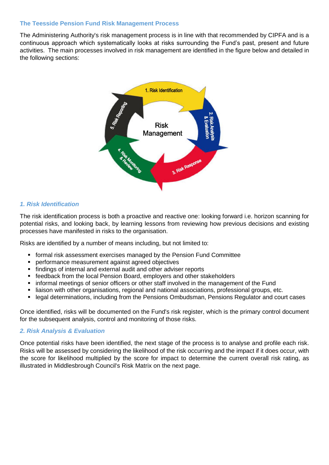#### **The Teesside Pension Fund Risk Management Process**

The Administering Authority's risk management process is in line with that recommended by CIPFA and is a continuous approach which systematically looks at risks surrounding the Fund's past, present and future activities. The main processes involved in risk management are identified in the figure below and detailed in the following sections:



#### *1. Risk Identification*

The risk identification process is both a proactive and reactive one: looking forward i.e. horizon scanning for potential risks, and looking back, by learning lessons from reviewing how previous decisions and existing processes have manifested in risks to the organisation.

Risks are identified by a number of means including, but not limited to:

- formal risk assessment exercises managed by the Pension Fund Committee
- performance measurement against agreed objectives
- findings of internal and external audit and other adviser reports
- feedback from the local Pension Board, employers and other stakeholders
- **•** informal meetings of senior officers or other staff involved in the management of the Fund
- liaison with other organisations, regional and national associations, professional groups, etc.
- **Example 1** legal determinations, including from the Pensions Ombudsman, Pensions Regulator and court cases

Once identified, risks will be documented on the Fund's risk register, which is the primary control document for the subsequent analysis, control and monitoring of those risks.

#### *2. Risk Analysis & Evaluation*

Once potential risks have been identified, the next stage of the process is to analyse and profile each risk. Risks will be assessed by considering the likelihood of the risk occurring and the impact if it does occur, with the score for likelihood multiplied by the score for impact to determine the current overall risk rating, as illustrated in Middlesbrough Council's Risk Matrix on the next page.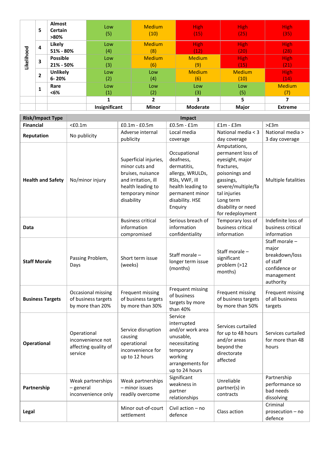|            | 5            | <b>Almost</b><br>Certain<br>$>80\%$ | Low<br>(5)    | <b>Medium</b><br>(10) | <b>High</b><br>(15) | <b>High</b><br>(25) | <b>High</b><br>(35) |
|------------|--------------|-------------------------------------|---------------|-----------------------|---------------------|---------------------|---------------------|
| Likelihood | 4            | Likely                              | Low           | <b>Medium</b>         | <b>High</b>         | <b>High</b>         | <b>High</b>         |
|            | 3            | 51% - 80%                           | (4)           | (8)                   | (12)                | (20)                | (28)                |
|            |              | <b>Possible</b>                     | Low           | <b>Medium</b>         | <b>Medium</b>       | <b>High</b>         | <b>High</b>         |
|            | $\mathbf{2}$ | 21% - 50%                           | (3)           | (6)                   | (9)                 | (15)                | (21)                |
|            |              | <b>Unlikely</b>                     | Low           | Low                   | <b>Medium</b>       | <b>Medium</b>       | <b>High</b>         |
|            | 1            | $6 - 20%$                           | (2)           | (4)                   | (6)                 | (10)                | (14)                |
|            |              | Rare                                | Low           | Low                   | Low                 | Low                 | <b>Medium</b>       |
|            |              | $<6\%$                              | (1)           | (2)                   | (3)                 | (5)                 | (7)                 |
|            |              |                                     |               | $\overline{2}$        | 3                   | 5                   |                     |
|            |              |                                     | Insignificant | <b>Minor</b>          | <b>Moderate</b>     | <b>Major</b>        | <b>Extreme</b>      |

| <b>Risk/Impact Type</b>  | Impact                                                              |                                                                                                                                           |                                                                                                                                                      |                                                                                                                                                                                                |                                                                                                   |  |  |  |
|--------------------------|---------------------------------------------------------------------|-------------------------------------------------------------------------------------------------------------------------------------------|------------------------------------------------------------------------------------------------------------------------------------------------------|------------------------------------------------------------------------------------------------------------------------------------------------------------------------------------------------|---------------------------------------------------------------------------------------------------|--|--|--|
| <b>Financial</b>         | $<$ £0.1m                                                           | $£0.1m - £0.5m$                                                                                                                           | $£0.5m - £1m$                                                                                                                                        | $f1m - f3m$                                                                                                                                                                                    | >E3m                                                                                              |  |  |  |
| Reputation               | No publicity                                                        | Adverse internal                                                                                                                          | Local media                                                                                                                                          | National media < 3                                                                                                                                                                             | National media >                                                                                  |  |  |  |
|                          |                                                                     | publicity                                                                                                                                 | coverage                                                                                                                                             | day coverage                                                                                                                                                                                   | 3 day coverage                                                                                    |  |  |  |
| <b>Health and Safety</b> | No/minor injury                                                     | Superficial injuries,<br>minor cuts and<br>bruises, nuisance<br>and irritation, ill<br>health leading to<br>temporary minor<br>disability | Occupational<br>deafness,<br>dermatitis,<br>allergy, WRULDs,<br>RSIs, VWF, ill<br>health leading to<br>permanent minor<br>disability. HSE<br>Enquiry | Amputations,<br>permanent loss of<br>eyesight, major<br>fractures,<br>poisonings and<br>gassings,<br>severe/multiple/fa<br>tal injuries<br>Long term<br>disability or need<br>for redeployment | Multiple fatalities                                                                               |  |  |  |
| Data                     |                                                                     | <b>Business critical</b><br>information<br>compromised                                                                                    | Serious breach of<br>information<br>confidentiality                                                                                                  | Temporary loss of<br>business critical<br>information                                                                                                                                          | Indefinite loss of<br>business critical<br>information                                            |  |  |  |
| <b>Staff Morale</b>      | Passing Problem,<br>Days                                            | Short term issue<br>(weeks)                                                                                                               | Staff morale -<br>longer term issue<br>(months)                                                                                                      | Staff morale -<br>significant<br>problem (>12<br>months)                                                                                                                                       | Staff morale -<br>major<br>breakdown/loss<br>of staff<br>confidence or<br>management<br>authority |  |  |  |
| <b>Business Targets</b>  | Occasional missing<br>of business targets<br>by more than 20%       | Frequent missing<br>of business targets<br>by more than 30%                                                                               | Frequent missing<br>of business<br>targets by more<br>than 40%                                                                                       | Frequent missing<br>of business targets<br>by more than 50%                                                                                                                                    | Frequent missing<br>of all business<br>targets                                                    |  |  |  |
| Operational              | Operational<br>inconvenience not<br>affecting quality of<br>service | Service disruption<br>causing<br>operational<br>inconvenience for<br>up to 12 hours                                                       | Service<br>interrupted<br>and/or work area<br>unusable,<br>necessitating<br>temporary<br>working<br>arrangements for<br>up to 24 hours               | Services curtailed<br>for up to 48 hours<br>and/or areas<br>beyond the<br>directorate<br>affected                                                                                              | Services curtailed<br>for more than 48<br>hours                                                   |  |  |  |
| Partnership              | Weak partnerships<br>- general<br>inconvenience only                | Weak partnerships<br>- minor issues<br>readily overcome                                                                                   | Significant<br>weakness in<br>partner<br>relationships                                                                                               | Unreliable<br>partner(s) in<br>contracts                                                                                                                                                       | Partnership<br>performance so<br>bad needs<br>dissolving                                          |  |  |  |
| Legal                    |                                                                     | Minor out-of-court<br>settlement                                                                                                          | Civil action - no<br>defence                                                                                                                         | Class action                                                                                                                                                                                   | Criminal<br>prosecution - no<br>defence                                                           |  |  |  |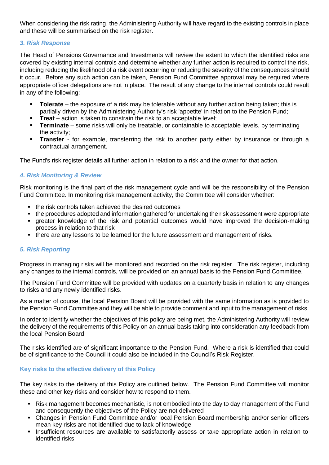When considering the risk rating, the Administering Authority will have regard to the existing controls in place and these will be summarised on the risk register.

#### *3. Risk Response*

The Head of Pensions Governance and Investments will review the extent to which the identified risks are covered by existing internal controls and determine whether any further action is required to control the risk, including reducing the likelihood of a risk event occurring or reducing the severity of the consequences should it occur. Before any such action can be taken, Pension Fund Committee approval may be required where appropriate officer delegations are not in place. The result of any change to the internal controls could result in any of the following:

- **Tolerate**  the exposure of a risk may be tolerable without any further action being taken; this is partially driven by the Administering Authority's risk 'appetite' in relation to the Pension Fund;
- **Treat** action is taken to constrain the risk to an acceptable level;
- **Terminate** some risks will only be treatable, or containable to acceptable levels, by terminating the activity;
- **Transfer** for example, transferring the risk to another party either by insurance or through a contractual arrangement.

The Fund's risk register details all further action in relation to a risk and the owner for that action.

#### *4. Risk Monitoring & Review*

Risk monitoring is the final part of the risk management cycle and will be the responsibility of the Pension Fund Committee. In monitoring risk management activity, the Committee will consider whether:

- the risk controls taken achieved the desired outcomes
- the procedures adopted and information gathered for undertaking the risk assessment were appropriate
- greater knowledge of the risk and potential outcomes would have improved the decision-making process in relation to that risk
- there are any lessons to be learned for the future assessment and management of risks.

#### *5. Risk Reporting*

Progress in managing risks will be monitored and recorded on the risk register. The risk register, including any changes to the internal controls, will be provided on an annual basis to the Pension Fund Committee.

The Pension Fund Committee will be provided with updates on a quarterly basis in relation to any changes to risks and any newly identified risks.

As a matter of course, the local Pension Board will be provided with the same information as is provided to the Pension Fund Committee and they will be able to provide comment and input to the management of risks.

In order to identify whether the objectives of this policy are being met, the Administering Authority will review the delivery of the requirements of this Policy on an annual basis taking into consideration any feedback from the local Pension Board.

The risks identified are of significant importance to the Pension Fund. Where a risk is identified that could be of significance to the Council it could also be included in the Council's Risk Register.

#### **Key risks to the effective delivery of this Policy**

The key risks to the delivery of this Policy are outlined below. The Pension Fund Committee will monitor these and other key risks and consider how to respond to them.

- Risk management becomes mechanistic, is not embodied into the day to day management of the Fund and consequently the objectives of the Policy are not delivered
- Changes in Pension Fund Committee and/or local Pension Board membership and/or senior officers mean key risks are not identified due to lack of knowledge
- **Insufficient resources are available to satisfactorily assess or take appropriate action in relation to** identified risks